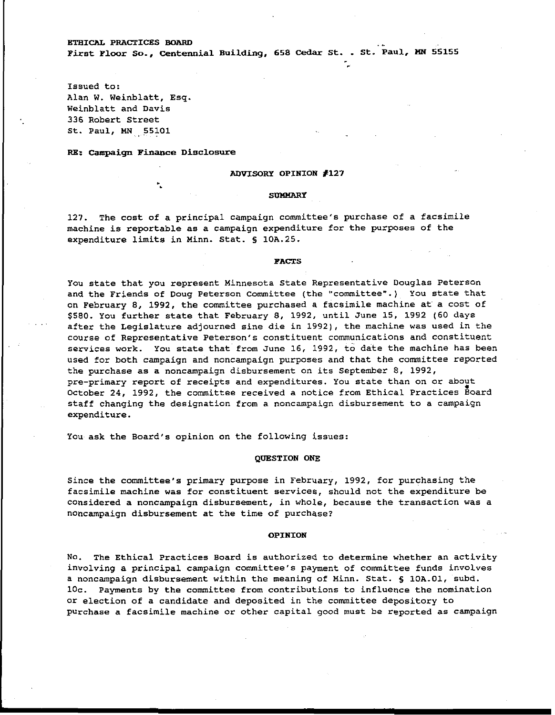**BTHICAL PRACTICES BOARD**<br>First Floor So., Centennial Building, 658 Cedar St. . St. Paul, MN 55155

**Issued to: Alan W. Weinblatt, Esq. Weinblatt and Davis 336 Robert Street St. Paul, MN** . **55101** .

**RE: Campaign Finance Disclosure** 

### **ADVISORY OPINION #I27**

#### **SUMMARY**

**127. The cost of a principal campaign committee's purchase of a facsimile machine is reportable as a campaign expenditure for the purposes of the expenditure limits in Hinn. Stat. S 10A.25.** 

#### **FACTS**

**You state that you represent Minnesota State Representative Douglas Peterson and the Friends of Doug Peterson Committee (the "committee".) You state that on February 8, 1992, the committee purchased a facsimile machine at a cost of \$580. You further state that February 8, 1992, until June 15, 1992 (60 days after the Legislature adjourned sine die in 1992), the machine was used in the course of Representative Peterson's constituent communications and constituent services work. You state that from June 16, 1992, to date the machine has been used for both campaign and noncampaign purposes and that the committee reported the purchase as a noncampaign disbursement on its September 8, 1992,**  pre-primary report of receipts and expenditures. You state than on or about **October 24, 1992, the committee received a notice from Ethical Practices Board staff changing the designation from a noncampaign disbursement to a campaign expenditure.** 

**You ask the Board's opinion on the following issues:** 

# **QUESTION ONE**

**Since the committee's primary purpose in February, 1992, for purchasing the facsimile machine was for constituent services, should not the expenditure be considered a noncampaign disbursement, in whole, because the transaction was a noncampaign disbursement at the time of purchase?** 

## **OPINION**

**No. The Ethical Practices Board is authorized to determine whether an activity involving a principal campaign committee's payment of committee funds involves a noncampaign disbursement within the meaning of Minn. Stat. 5 10A.01, subd. 10c. Payments by the committee from contributions to influence the nomination or election of a candidate and deposited in the committee depository to purchase a facsimile machine or other capital good must be reported as campaign**